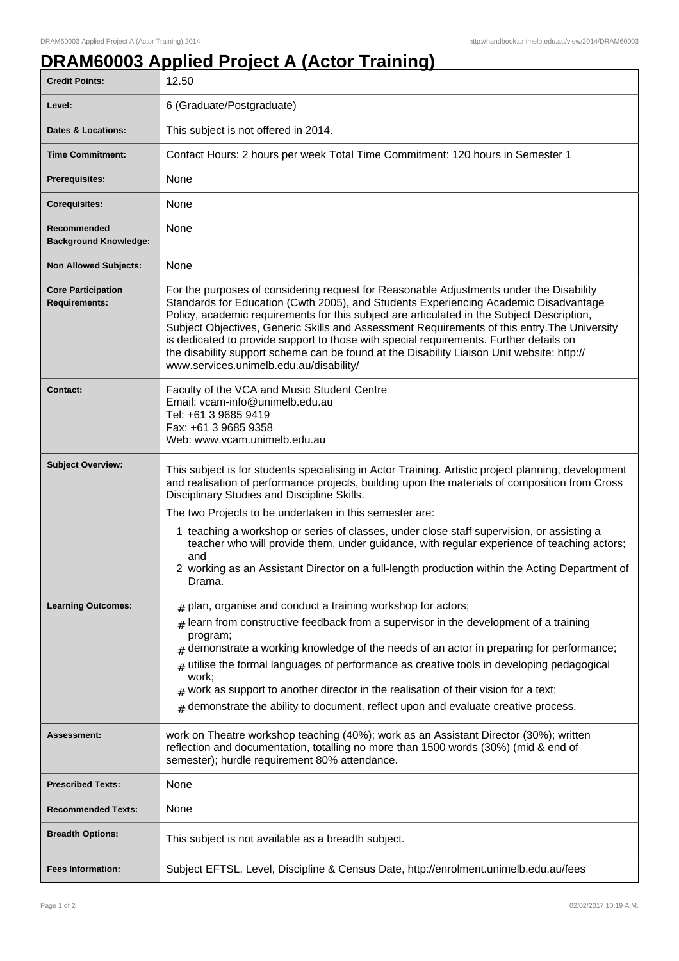## **DRAM60003 Applied Project A (Actor Training)**

| <b>Credit Points:</b>                             | 12.50                                                                                                                                                                                                                                                                                                                                                                                                                                                                                                                                                                                                                         |
|---------------------------------------------------|-------------------------------------------------------------------------------------------------------------------------------------------------------------------------------------------------------------------------------------------------------------------------------------------------------------------------------------------------------------------------------------------------------------------------------------------------------------------------------------------------------------------------------------------------------------------------------------------------------------------------------|
| Level:                                            | 6 (Graduate/Postgraduate)                                                                                                                                                                                                                                                                                                                                                                                                                                                                                                                                                                                                     |
| <b>Dates &amp; Locations:</b>                     | This subject is not offered in 2014.                                                                                                                                                                                                                                                                                                                                                                                                                                                                                                                                                                                          |
| <b>Time Commitment:</b>                           | Contact Hours: 2 hours per week Total Time Commitment: 120 hours in Semester 1                                                                                                                                                                                                                                                                                                                                                                                                                                                                                                                                                |
| <b>Prerequisites:</b>                             | None                                                                                                                                                                                                                                                                                                                                                                                                                                                                                                                                                                                                                          |
| <b>Corequisites:</b>                              | None                                                                                                                                                                                                                                                                                                                                                                                                                                                                                                                                                                                                                          |
| Recommended<br><b>Background Knowledge:</b>       | None                                                                                                                                                                                                                                                                                                                                                                                                                                                                                                                                                                                                                          |
| <b>Non Allowed Subjects:</b>                      | None                                                                                                                                                                                                                                                                                                                                                                                                                                                                                                                                                                                                                          |
| <b>Core Participation</b><br><b>Requirements:</b> | For the purposes of considering request for Reasonable Adjustments under the Disability<br>Standards for Education (Cwth 2005), and Students Experiencing Academic Disadvantage<br>Policy, academic requirements for this subject are articulated in the Subject Description,<br>Subject Objectives, Generic Skills and Assessment Requirements of this entry. The University<br>is dedicated to provide support to those with special requirements. Further details on<br>the disability support scheme can be found at the Disability Liaison Unit website: http://<br>www.services.unimelb.edu.au/disability/              |
| <b>Contact:</b>                                   | Faculty of the VCA and Music Student Centre<br>Email: vcam-info@unimelb.edu.au<br>Tel: +61 3 9685 9419<br>Fax: +61 3 9685 9358<br>Web: www.vcam.unimelb.edu.au                                                                                                                                                                                                                                                                                                                                                                                                                                                                |
| <b>Subject Overview:</b>                          | This subject is for students specialising in Actor Training. Artistic project planning, development<br>and realisation of performance projects, building upon the materials of composition from Cross<br>Disciplinary Studies and Discipline Skills.<br>The two Projects to be undertaken in this semester are:<br>1 teaching a workshop or series of classes, under close staff supervision, or assisting a<br>teacher who will provide them, under guidance, with regular experience of teaching actors;<br>and<br>2 working as an Assistant Director on a full-length production within the Acting Department of<br>Drama. |
| <b>Learning Outcomes:</b>                         | $_{\text{\#}}$ plan, organise and conduct a training workshop for actors;<br>learn from constructive feedback from a supervisor in the development of a training<br>#<br>program;<br>$#$ demonstrate a working knowledge of the needs of an actor in preparing for performance;<br>utilise the formal languages of performance as creative tools in developing pedagogical<br>#<br>work:<br>$#$ work as support to another director in the realisation of their vision for a text;<br>demonstrate the ability to document, reflect upon and evaluate creative process.<br>#                                                   |
| <b>Assessment:</b>                                | work on Theatre workshop teaching (40%); work as an Assistant Director (30%); written<br>reflection and documentation, totalling no more than 1500 words (30%) (mid & end of<br>semester); hurdle requirement 80% attendance.                                                                                                                                                                                                                                                                                                                                                                                                 |
| <b>Prescribed Texts:</b>                          | None                                                                                                                                                                                                                                                                                                                                                                                                                                                                                                                                                                                                                          |
| <b>Recommended Texts:</b>                         | None                                                                                                                                                                                                                                                                                                                                                                                                                                                                                                                                                                                                                          |
| <b>Breadth Options:</b>                           | This subject is not available as a breadth subject.                                                                                                                                                                                                                                                                                                                                                                                                                                                                                                                                                                           |
| <b>Fees Information:</b>                          | Subject EFTSL, Level, Discipline & Census Date, http://enrolment.unimelb.edu.au/fees                                                                                                                                                                                                                                                                                                                                                                                                                                                                                                                                          |